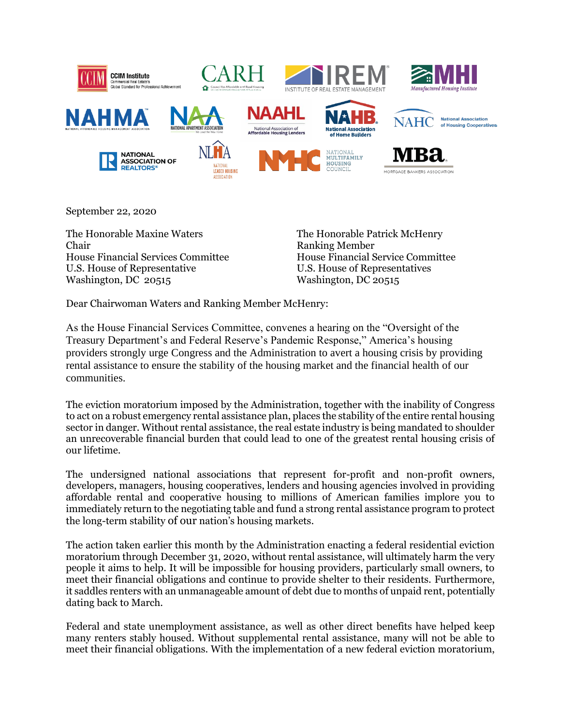

September 22, 2020

The Honorable Maxine Waters Chair House Financial Services Committee U.S. House of Representative Washington, DC 20515

The Honorable Patrick McHenry Ranking Member House Financial Service Committee U.S. House of Representatives Washington, DC 20515

Dear Chairwoman Waters and Ranking Member McHenry:

As the House Financial Services Committee, convenes a hearing on the "Oversight of the Treasury Department's and Federal Reserve's Pandemic Response," America's housing providers strongly urge Congress and the Administration to avert a housing crisis by providing rental assistance to ensure the stability of the housing market and the financial health of our communities.

The eviction moratorium imposed by the Administration, together with the inability of Congress to act on a robust emergency rental assistance plan, places the stability of the entire rental housing sector in danger. Without rental assistance, the real estate industry is being mandated to shoulder an unrecoverable financial burden that could lead to one of the greatest rental housing crisis of our lifetime.

The undersigned national associations that represent for-profit and non-profit owners, developers, managers, housing cooperatives, lenders and housing agencies involved in providing affordable rental and cooperative housing to millions of American families implore you to immediately return to the negotiating table and fund a strong rental assistance program to protect the long-term stability of our nation's housing markets.

The action taken earlier this month by the Administration enacting a federal residential eviction moratorium through December 31, 2020, without rental assistance, will ultimately harm the very people it aims to help. It will be impossible for housing providers, particularly small owners, to meet their financial obligations and continue to provide shelter to their residents. Furthermore, it saddles renters with an unmanageable amount of debt due to months of unpaid rent, potentially dating back to March.

Federal and state unemployment assistance, as well as other direct benefits have helped keep many renters stably housed. Without supplemental rental assistance, many will not be able to meet their financial obligations. With the implementation of a new federal eviction moratorium,